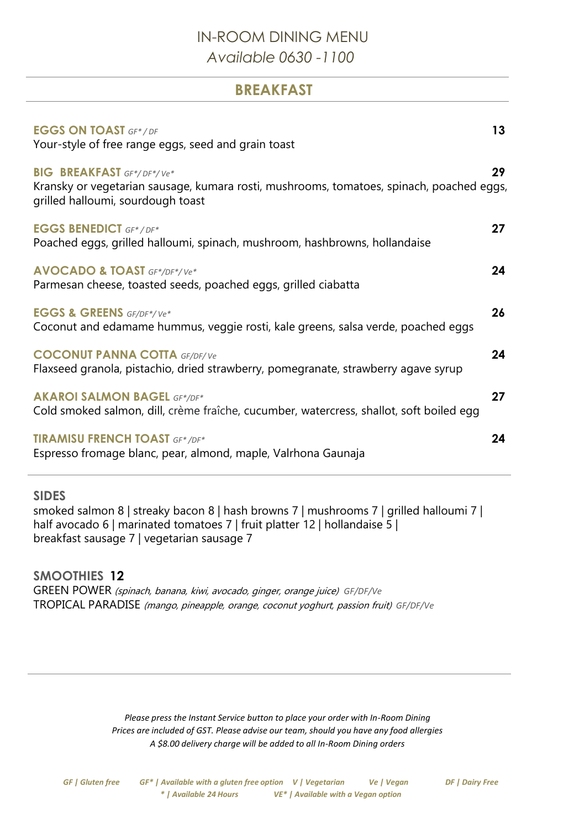## IN-ROOM DINING MENU *Available 0630 -1100*

**BREAKFAST**

| <b>EGGS ON TOAST GF*/DF</b><br>Your-style of free range eggs, seed and grain toast                                                                                | 13 |
|-------------------------------------------------------------------------------------------------------------------------------------------------------------------|----|
| <b>BIG BREAKFAST</b> GF*/DF*/Ve*<br>Kransky or vegetarian sausage, kumara rosti, mushrooms, tomatoes, spinach, poached eggs,<br>grilled halloumi, sourdough toast | 29 |
| <b>EGGS BENEDICT GF*/DF*</b><br>Poached eggs, grilled halloumi, spinach, mushroom, hashbrowns, hollandaise                                                        | 27 |
| <b>AVOCADO &amp; TOAST</b> GF*/DF*/Ve*<br>Parmesan cheese, toasted seeds, poached eggs, grilled ciabatta                                                          | 24 |
| <b>EGGS &amp; GREENS</b> GF/DF*/Ve*<br>Coconut and edamame hummus, veggie rosti, kale greens, salsa verde, poached eggs                                           | 26 |
| <b>COCONUT PANNA COTTA GF/DF/Ve</b><br>Flaxseed granola, pistachio, dried strawberry, pomegranate, strawberry agave syrup                                         | 24 |
| <b>AKAROI SALMON BAGEL GF*/DF*</b><br>Cold smoked salmon, dill, crème fraîche, cucumber, watercress, shallot, soft boiled egg                                     | 27 |
| <b>TIRAMISU FRENCH TOAST GF*/DF*</b><br>Espresso fromage blanc, pear, almond, maple, Valrhona Gaunaja                                                             | 24 |

**SIDES**

smoked salmon 8 | streaky bacon 8 | hash browns 7 | mushrooms 7 | grilled halloumi 7 | half avocado 6 | marinated tomatoes 7 | fruit platter 12 | hollandaise 5 | breakfast sausage 7 | vegetarian sausage 7

**SMOOTHIES 12** GREEN POWER (spinach, banana, kiwi, avocado, ginger, orange juice) *GF/DF/Ve* TROPICAL PARADISE (mango, pineapple, orange, coconut yoghurt, passion fruit) *GF/DF/Ve*

> *Please press the Instant Service button to place your order with In-Room Dining Prices are included of GST. Please advise our team, should you have any food allergies A \$8.00 delivery charge will be added to all In-Room Dining orders*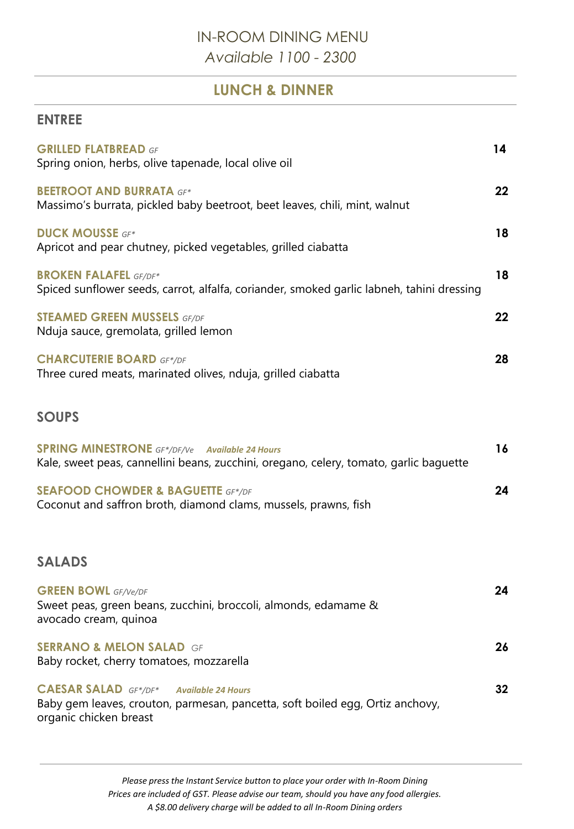# IN-ROOM DINING MENU *Available 1100 - 2300*

### **LUNCH & DINNER**

#### **ENTREE**

| <b>GRILLED FLATBREAD GF</b><br>Spring onion, herbs, olive tapenade, local olive oil                                                                                 | 14 |
|---------------------------------------------------------------------------------------------------------------------------------------------------------------------|----|
| <b>BEETROOT AND BURRATA GF*</b><br>Massimo's burrata, pickled baby beetroot, beet leaves, chili, mint, walnut                                                       | 22 |
| <b>DUCK MOUSSE GF*</b><br>Apricot and pear chutney, picked vegetables, grilled ciabatta                                                                             | 18 |
| <b>BROKEN FALAFEL GF/DF*</b><br>Spiced sunflower seeds, carrot, alfalfa, coriander, smoked garlic labneh, tahini dressing                                           | 18 |
| <b>STEAMED GREEN MUSSELS GF/DF</b><br>Nduja sauce, gremolata, grilled lemon                                                                                         | 22 |
| <b>CHARCUTERIE BOARD GF*/DF</b><br>Three cured meats, marinated olives, nduja, grilled ciabatta                                                                     | 28 |
| <b>SOUPS</b>                                                                                                                                                        |    |
| <b>SPRING MINESTRONE</b> GF*/DF/Ve Available 24 Hours<br>Kale, sweet peas, cannellini beans, zucchini, oregano, celery, tomato, garlic baguette                     | 16 |
| <b>SEAFOOD CHOWDER &amp; BAGUETTE GF*/DF</b><br>Coconut and saffron broth, diamond clams, mussels, prawns, fish                                                     | 24 |
| <b>SALADS</b>                                                                                                                                                       |    |
| <b>GREEN BOWL</b> GF/Ve/DF<br>Sweet peas, green beans, zucchini, broccoli, almonds, edamame &<br>avocado cream, quinoa                                              | 24 |
| <b>SERRANO &amp; MELON SALAD GF</b><br>Baby rocket, cherry tomatoes, mozzarella                                                                                     | 26 |
| <b>CAESAR SALAD</b> GF*/DF*<br><b>Available 24 Hours</b><br>Baby gem leaves, crouton, parmesan, pancetta, soft boiled egg, Ortiz anchovy,<br>organic chicken breast | 32 |

*Please press the Instant Service button to place your order with In-Room Dining Prices are included of GST. Please advise our team, should you have any food allergies. A \$8.00 delivery charge will be added to all In-Room Dining orders*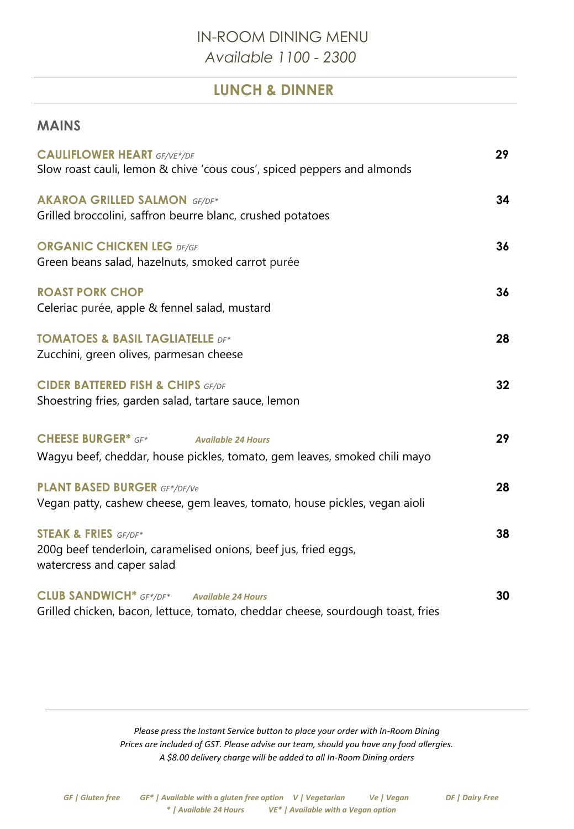## IN-ROOM DINING MENU *Available 1100 - 2300*

### **LUNCH & DINNER**

#### **MAINS**

| <b>CAULIFLOWER HEART GF/VE*/DF</b><br>Slow roast cauli, lemon & chive 'cous cous', spiced peppers and almonds                        | 29              |
|--------------------------------------------------------------------------------------------------------------------------------------|-----------------|
| <b>AKAROA GRILLED SALMON GF/DF*</b><br>Grilled broccolini, saffron beurre blanc, crushed potatoes                                    | 34              |
| <b>ORGANIC CHICKEN LEG DF/GF</b><br>Green beans salad, hazelnuts, smoked carrot purée                                                | 36              |
| <b>ROAST PORK CHOP</b><br>Celeriac purée, apple & fennel salad, mustard                                                              | 36              |
| <b>TOMATOES &amp; BASIL TAGLIATELLE DF*</b><br>Zucchini, green olives, parmesan cheese                                               | 28              |
| <b>CIDER BATTERED FISH &amp; CHIPS GF/DF</b><br>Shoestring fries, garden salad, tartare sauce, lemon                                 | 32 <sub>2</sub> |
| <b>CHEESE BURGER* GF*</b><br><b>Available 24 Hours</b><br>Wagyu beef, cheddar, house pickles, tomato, gem leaves, smoked chili mayo  | 29              |
| <b>PLANT BASED BURGER GF*/DF/Ve</b><br>Vegan patty, cashew cheese, gem leaves, tomato, house pickles, vegan aioli                    | 28              |
| <b>STEAK &amp; FRIES</b> GF/DF*<br>200g beef tenderloin, caramelised onions, beef jus, fried eggs,<br>watercress and caper salad     | 38              |
| <b>CLUB SANDWICH</b> * GF*/DF* Available 24 Hours<br>Grilled chicken, bacon, lettuce, tomato, cheddar cheese, sourdough toast, fries | 30              |

*Please press the Instant Service button to place your order with In-Room Dining Prices are included of GST. Please advise our team, should you have any food allergies. A \$8.00 delivery charge will be added to all In-Room Dining orders*

*GF | Gluten free GF\* | Available with a gluten free option V | Vegetarian Ve | Vegan DF | Dairy Free \* | Available 24 Hours VE\* | Available with a Vegan option*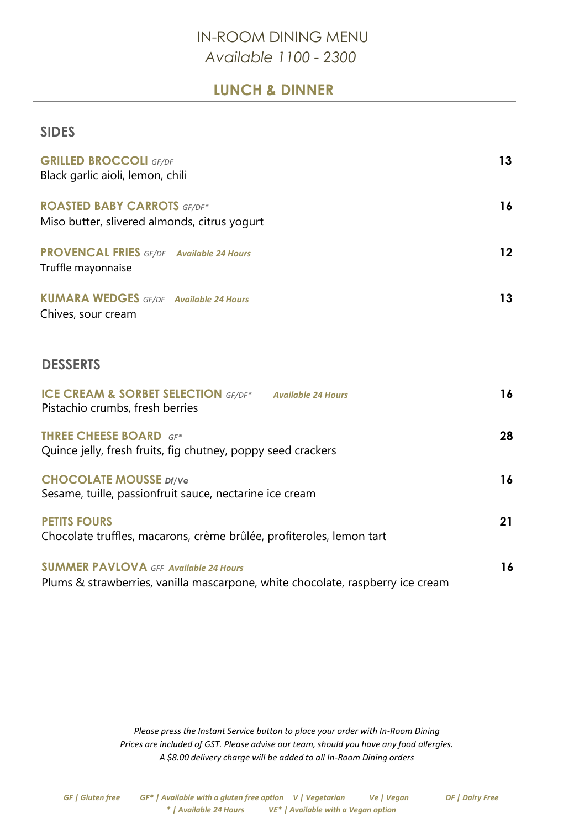## IN-ROOM DINING MENU *Available 1100 - 2300*

### **LUNCH & DINNER**

#### **SIDES**

| <b>GRILLED BROCCOLI</b> GF/DF<br>Black garlic aioli, lemon, chili                                                              | 13                |
|--------------------------------------------------------------------------------------------------------------------------------|-------------------|
| <b>ROASTED BABY CARROTS GF/DF*</b><br>Miso butter, slivered almonds, citrus yogurt                                             | 16                |
| <b>PROVENCAL FRIES</b> GF/DF Available 24 Hours<br>Truffle mayonnaise                                                          | $12 \overline{ }$ |
| <b>KUMARA WEDGES</b> GF/DF Available 24 Hours<br>Chives, sour cream                                                            | 13                |
| <b>DESSERTS</b>                                                                                                                |                   |
| <b>ICE CREAM &amp; SORBET SELECTION</b> GF/DF* Available 24 Hours<br>Pistachio crumbs, fresh berries                           | 16                |
| <b>THREE CHEESE BOARD</b> GF*<br>Quince jelly, fresh fruits, fig chutney, poppy seed crackers                                  | 28                |
| <b>CHOCOLATE MOUSSE Df/Ve</b><br>Sesame, tuille, passionfruit sauce, nectarine ice cream                                       | 16                |
| <b>PETITS FOURS</b><br>Chocolate truffles, macarons, crème brûlée, profiteroles, lemon tart                                    | 21                |
| <b>SUMMER PAVLOVA</b> GFF Available 24 Hours<br>Plums & strawberries, vanilla mascarpone, white chocolate, raspberry ice cream | 16                |

*Please press the Instant Service button to place your order with In-Room Dining Prices are included of GST. Please advise our team, should you have any food allergies. A \$8.00 delivery charge will be added to all In-Room Dining orders*